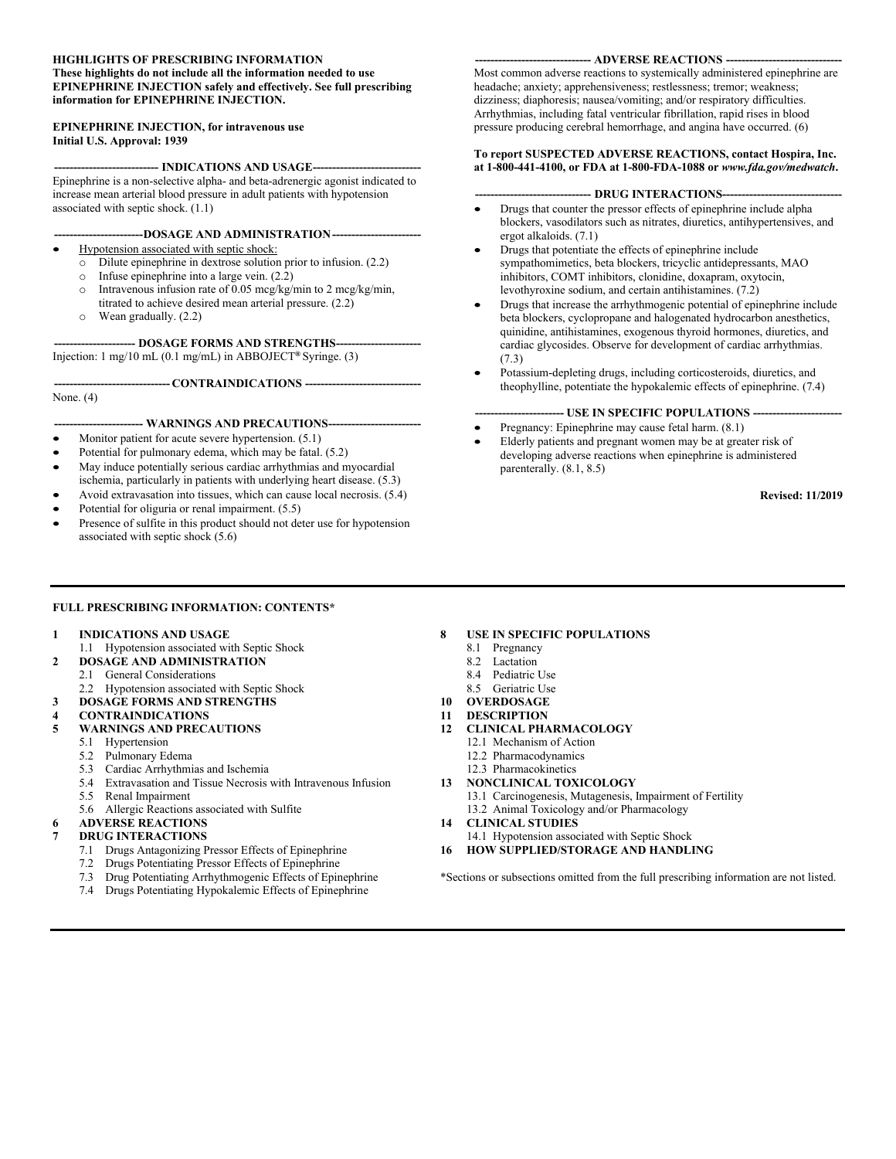#### **HIGHLIGHTS OF PRESCRIBING INFORMATION These highlights do not include all the information needed to use EPINEPHRINE INJECTION safely and effectively. See full prescribing information for EPINEPHRINE INJECTION.**

#### **EPINEPHRINE INJECTION, for intravenous use Initial U.S. Approval: 1939**

-- **INDICATIONS AND USAGE---**Epinephrine is a non-selective alpha- and beta-adrenergic agonist indicated to increase mean arterial blood pressure in adult patients with hypotension associated with septic shock. (1.1)

- **-----------------------DOSAGE AND ADMINISTRATION-----------------------**
- Hypotension associated with septic shock:
	- o Dilute epinephrine in dextrose solution prior to infusion. (2.2)
	- o Infuse epinephrine into a large vein. (2.2)
	- o Intravenous infusion rate of 0.05 mcg/kg/min to 2 mcg/kg/min, titrated to achieve desired mean arterial pressure. (2.2)
	- o Wean gradually. (2.2)

--- **DOSAGE FORMS AND STRENGTHS--**Injection: 1 mg/10 mL (0.1 mg/mL) in ABBOJECT**®** Syringe. (3)

None. (4)

#### --- WARNINGS AND PRECAUTIONS---

**------------------------------ CONTRAINDICATIONS ------------------------------**

- Monitor patient for acute severe hypertension. (5.1)
- Potential for pulmonary edema, which may be fatal. (5.2)
- May induce potentially serious cardiac arrhythmias and myocardial ischemia, particularly in patients with underlying heart disease. (5.3)
- Avoid extravasation into tissues, which can cause local necrosis. (5.4)
- Potential for oliguria or renal impairment. (5.5)
- Presence of sulfite in this product should not deter use for hypotension associated with septic shock (5.6)

#### **------------------------------ ADVERSE REACTIONS ------------------------------**

Most common adverse reactions to systemically administered epinephrine are headache; anxiety; apprehensiveness; restlessness; tremor; weakness; dizziness; diaphoresis; nausea/vomiting; and/or respiratory difficulties. Arrhythmias, including fatal ventricular fibrillation, rapid rises in blood pressure producing cerebral hemorrhage, and angina have occurred. (6)

#### **To report SUSPECTED ADVERSE REACTIONS, contact Hospira, Inc. at 1-800-441-4100, or FDA at 1-800-FDA-1088 or** *www.fda.gov/medwatch***.**

- **------------------------------ DRUG INTERACTIONS-------------------------------**
- Drugs that counter the pressor effects of epinephrine include alpha blockers, vasodilators such as nitrates, diuretics, antihypertensives, and ergot alkaloids. (7.1)
- Drugs that potentiate the effects of epinephrine include sympathomimetics, beta blockers, tricyclic antidepressants, MAO inhibitors, COMT inhibitors, clonidine, doxapram, oxytocin, levothyroxine sodium, and certain antihistamines. (7.2)
- Drugs that increase the arrhythmogenic potential of epinephrine include beta blockers, cyclopropane and halogenated hydrocarbon anesthetics, quinidine, antihistamines, exogenous thyroid hormones, diuretics, and cardiac glycosides. Observe for development of cardiac arrhythmias. (7.3)
- Potassium-depleting drugs, including corticosteroids, diuretics, and theophylline, potentiate the hypokalemic effects of epinephrine. (7.4)

#### **----------------------- USE IN SPECIFIC POPULATIONS -----------------------**

- Pregnancy: Epinephrine may cause fetal harm. (8.1)
- Elderly patients and pregnant women may be at greater risk of developing adverse reactions when epinephrine is administered parenterally. (8.1, 8.5)

**Revised: 11/2019**

#### **FULL PRESCRIBING INFORMATION: CONTENTS\***

#### **1 INDICATIONS AND USAGE**

#### 1.1 Hypotension associated with Septic Shock

- **2 DOSAGE AND ADMINISTRATION**
- 2.1 General Considerations
	- 2.2 Hypotension associated with Septic Shock
- **3 DOSAGE FORMS AND STRENGTHS**
- **4 CONTRAINDICATIONS**

#### **5 WARNINGS AND PRECAUTIONS**

- 5.1 Hypertension
- 5.2 Pulmonary Edema
- 5.3 Cardiac Arrhythmias and Ischemia
- 5.4 Extravasation and Tissue Necrosis with Intravenous Infusion
- 5.5 Renal Impairment
- 5.6 Allergic Reactions associated with Sulfite

#### **6 ADVERSE REACTIONS**

- **7 DRUG INTERACTIONS**
	- 7.1 Drugs Antagonizing Pressor Effects of Epinephrine
	- 7.2 Drugs Potentiating Pressor Effects of Epinephrine
	- 7.3 Drug Potentiating Arrhythmogenic Effects of Epinephrine
	- 7.4 Drugs Potentiating Hypokalemic Effects of Epinephrine

#### **8 USE IN SPECIFIC POPULATIONS**

- 8.1 Pregnancy
- 8.2 Lactation
- 8.4 Pediatric Use
- 8.5 Geriatric Use
- **10 OVERDOSAGE**
- **11 DESCRIPTION**
- **12 CLINICAL PHARMACOLOGY**
	- 12.1 Mechanism of Action
	- 12.2 Pharmacodynamics
	- 12.3 Pharmacokinetics
- **13 NONCLINICAL TOXICOLOGY**
	- 13.1 Carcinogenesis, Mutagenesis, Impairment of Fertility 13.2 Animal Toxicology and/or Pharmacology
- **14 CLINICAL STUDIES**
- 14.1 Hypotension associated with Septic Shock
- **16 HOW SUPPLIED/STORAGE AND HANDLING**

\*Sections or subsections omitted from the full prescribing information are not listed.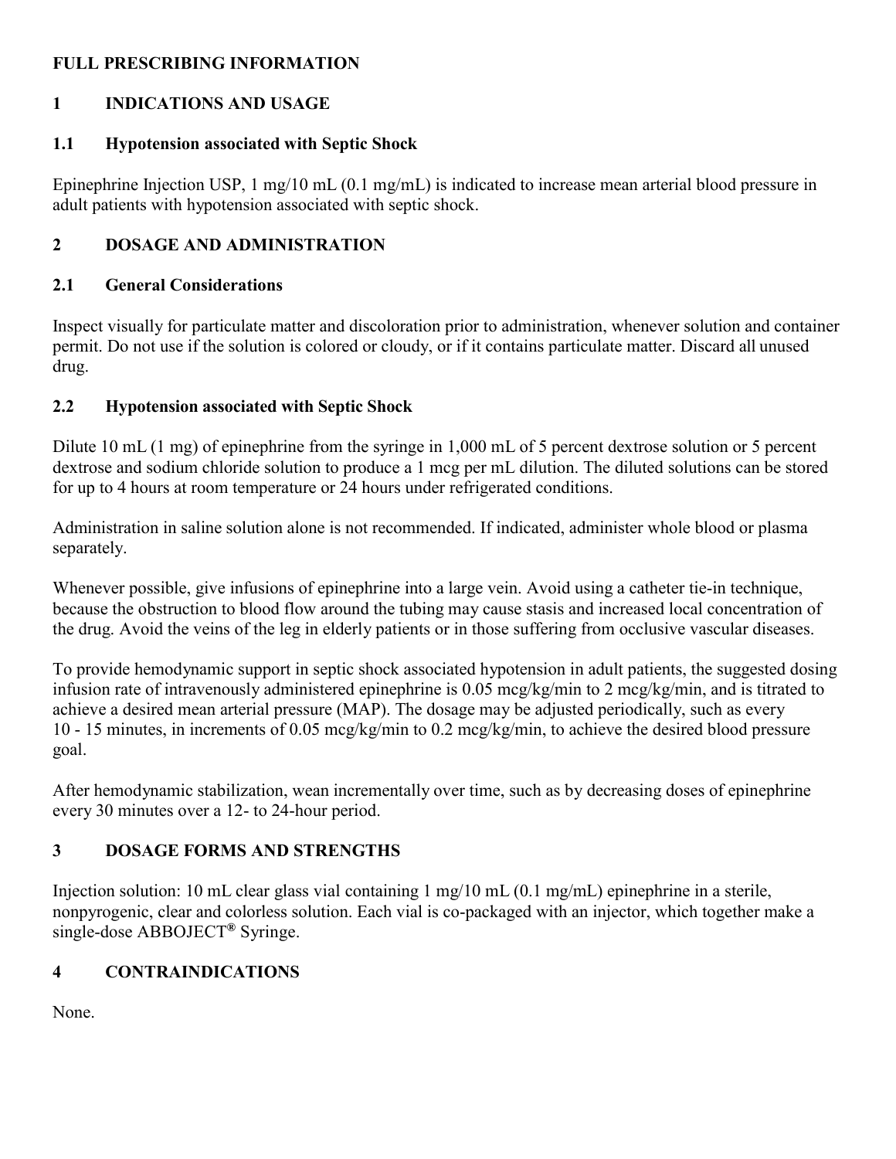#### **FULL PRESCRIBING INFORMATION**

#### **1 INDICATIONS AND USAGE**

#### **1.1 Hypotension associated with Septic Shock**

Epinephrine Injection USP, 1 mg/10 mL (0.1 mg/mL) is indicated to increase mean arterial blood pressure in adult patients with hypotension associated with septic shock.

## **2 DOSAGE AND ADMINISTRATION**

#### **2.1 General Considerations**

Inspect visually for particulate matter and discoloration prior to administration, whenever solution and container permit. Do not use if the solution is colored or cloudy, or if it contains particulate matter. Discard all unused drug.

#### **2.2 Hypotension associated with Septic Shock**

Dilute 10 mL (1 mg) of epinephrine from the syringe in 1,000 mL of 5 percent dextrose solution or 5 percent dextrose and sodium chloride solution to produce a 1 mcg per mL dilution. The diluted solutions can be stored for up to 4 hours at room temperature or 24 hours under refrigerated conditions.

Administration in saline solution alone is not recommended. If indicated, administer whole blood or plasma separately.

Whenever possible, give infusions of epinephrine into a large vein. Avoid using a catheter tie-in technique, because the obstruction to blood flow around the tubing may cause stasis and increased local concentration of the drug. Avoid the veins of the leg in elderly patients or in those suffering from occlusive vascular diseases.

To provide hemodynamic support in septic shock associated hypotension in adult patients, the suggested dosing infusion rate of intravenously administered epinephrine is 0.05 mcg/kg/min to 2 mcg/kg/min, and is titrated to achieve a desired mean arterial pressure (MAP). The dosage may be adjusted periodically, such as every 10 - 15 minutes, in increments of 0.05 mcg/kg/min to 0.2 mcg/kg/min, to achieve the desired blood pressure goal.

After hemodynamic stabilization, wean incrementally over time, such as by decreasing doses of epinephrine every 30 minutes over a 12- to 24-hour period.

## **3 DOSAGE FORMS AND STRENGTHS**

Injection solution: 10 mL clear glass vial containing 1 mg/10 mL (0.1 mg/mL) epinephrine in a sterile, nonpyrogenic, clear and colorless solution. Each vial is co-packaged with an injector, which together make a single-dose ABBOJECT**®** Syringe.

# **4 CONTRAINDICATIONS**

None.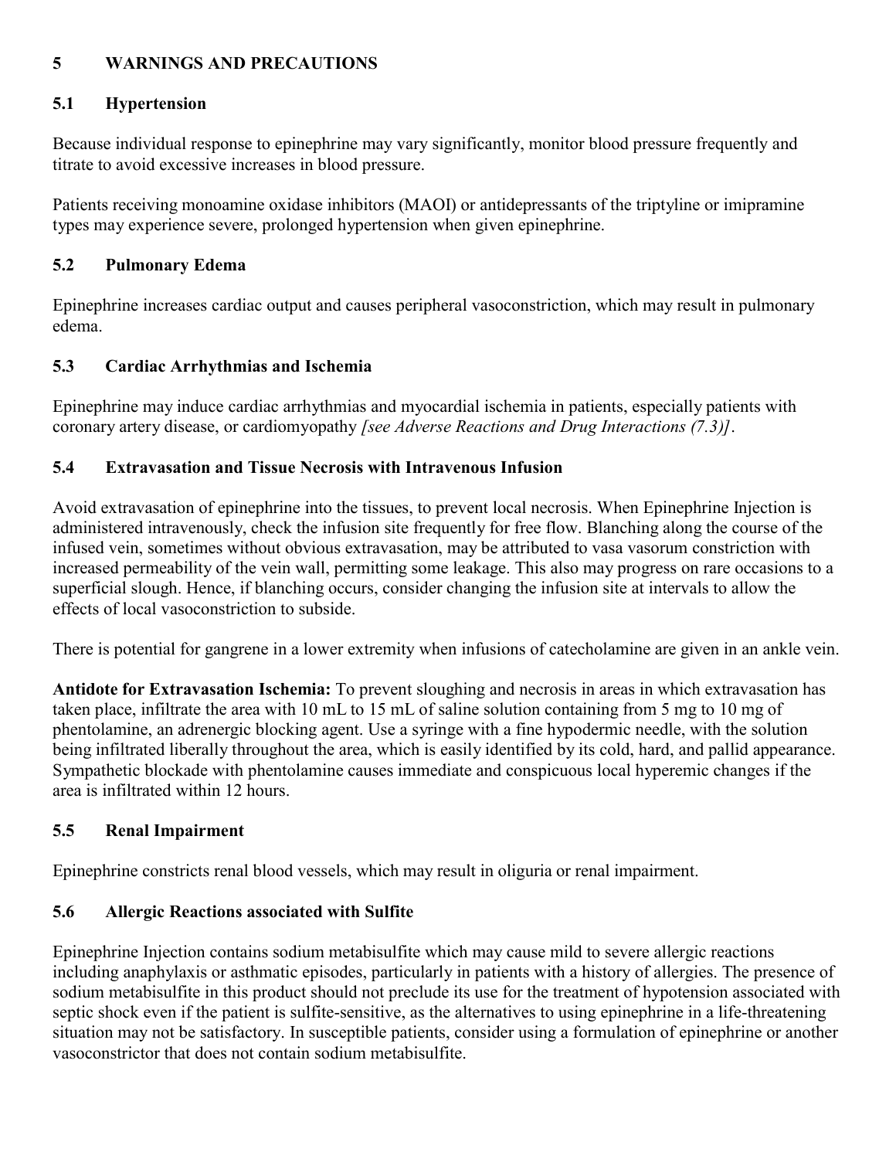#### **5 WARNINGS AND PRECAUTIONS**

#### **5.1 Hypertension**

Because individual response to epinephrine may vary significantly, monitor blood pressure frequently and titrate to avoid excessive increases in blood pressure.

Patients receiving monoamine oxidase inhibitors (MAOI) or antidepressants of the triptyline or imipramine types may experience severe, prolonged hypertension when given epinephrine.

#### **5.2 Pulmonary Edema**

Epinephrine increases cardiac output and causes peripheral vasoconstriction, which may result in pulmonary edema.

## **5.3 Cardiac Arrhythmias and Ischemia**

Epinephrine may induce cardiac arrhythmias and myocardial ischemia in patients, especially patients with coronary artery disease, or cardiomyopathy *[see Adverse Reactions and Drug Interactions (7.3)]*.

#### **5.4 Extravasation and Tissue Necrosis with Intravenous Infusion**

Avoid extravasation of epinephrine into the tissues, to prevent local necrosis. When Epinephrine Injection is administered intravenously, check the infusion site frequently for free flow. Blanching along the course of the infused vein, sometimes without obvious extravasation, may be attributed to vasa vasorum constriction with increased permeability of the vein wall, permitting some leakage. This also may progress on rare occasions to a superficial slough. Hence, if blanching occurs, consider changing the infusion site at intervals to allow the effects of local vasoconstriction to subside.

There is potential for gangrene in a lower extremity when infusions of catecholamine are given in an ankle vein.

**Antidote for Extravasation Ischemia:** To prevent sloughing and necrosis in areas in which extravasation has taken place, infiltrate the area with 10 mL to 15 mL of saline solution containing from 5 mg to 10 mg of phentolamine, an adrenergic blocking agent. Use a syringe with a fine hypodermic needle, with the solution being infiltrated liberally throughout the area, which is easily identified by its cold, hard, and pallid appearance. Sympathetic blockade with phentolamine causes immediate and conspicuous local hyperemic changes if the area is infiltrated within 12 hours.

## **5.5 Renal Impairment**

Epinephrine constricts renal blood vessels, which may result in oliguria or renal impairment.

## **5.6 Allergic Reactions associated with Sulfite**

Epinephrine Injection contains sodium metabisulfite which may cause mild to severe allergic reactions including anaphylaxis or asthmatic episodes, particularly in patients with a history of allergies. The presence of sodium metabisulfite in this product should not preclude its use for the treatment of hypotension associated with septic shock even if the patient is sulfite-sensitive, as the alternatives to using epinephrine in a life-threatening situation may not be satisfactory. In susceptible patients, consider using a formulation of epinephrine or another vasoconstrictor that does not contain sodium metabisulfite.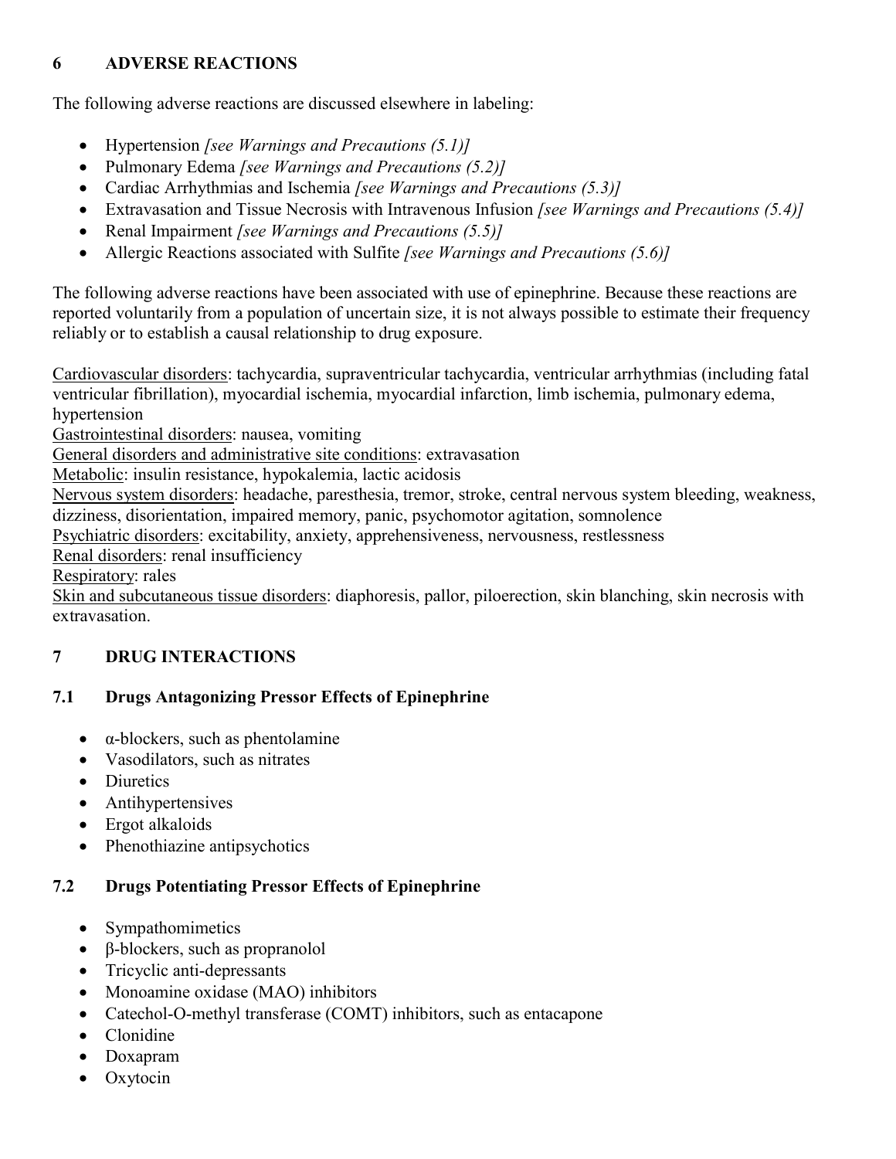## **6 ADVERSE REACTIONS**

The following adverse reactions are discussed elsewhere in labeling:

- Hypertension *[see Warnings and Precautions (5.1)]*
- Pulmonary Edema *[see Warnings and Precautions (5.2)]*
- Cardiac Arrhythmias and Ischemia *[see Warnings and Precautions (5.3)]*
- Extravasation and Tissue Necrosis with Intravenous Infusion *[see Warnings and Precautions (5.4)]*
- Renal Impairment *[see Warnings and Precautions (5.5)]*
- Allergic Reactions associated with Sulfite *[see Warnings and Precautions (5.6)]*

The following adverse reactions have been associated with use of epinephrine. Because these reactions are reported voluntarily from a population of uncertain size, it is not always possible to estimate their frequency reliably or to establish a causal relationship to drug exposure.

Cardiovascular disorders: tachycardia, supraventricular tachycardia, ventricular arrhythmias (including fatal ventricular fibrillation), myocardial ischemia, myocardial infarction, limb ischemia, pulmonary edema, hypertension

Gastrointestinal disorders: nausea, vomiting

General disorders and administrative site conditions: extravasation

Metabolic: insulin resistance, hypokalemia, lactic acidosis

Nervous system disorders: headache, paresthesia, tremor, stroke, central nervous system bleeding, weakness, dizziness, disorientation, impaired memory, panic, psychomotor agitation, somnolence

Psychiatric disorders: excitability, anxiety, apprehensiveness, nervousness, restlessness

Renal disorders: renal insufficiency

Respiratory: rales

Skin and subcutaneous tissue disorders: diaphoresis, pallor, piloerection, skin blanching, skin necrosis with extravasation.

# **7 DRUG INTERACTIONS**

# **7.1 Drugs Antagonizing Pressor Effects of Epinephrine**

- $\bullet$   $\alpha$ -blockers, such as phentolamine
- Vasodilators, such as nitrates
- Diuretics
- Antihypertensives
- Ergot alkaloids
- Phenothiazine antipsychotics

## **7.2 Drugs Potentiating Pressor Effects of Epinephrine**

- Sympathomimetics
- $\cdot$  β-blockers, such as propranolol
- Tricyclic anti-depressants
- Monoamine oxidase (MAO) inhibitors
- Catechol-O-methyl transferase (COMT) inhibitors, such as entacapone
- Clonidine
- Doxapram
- Oxytocin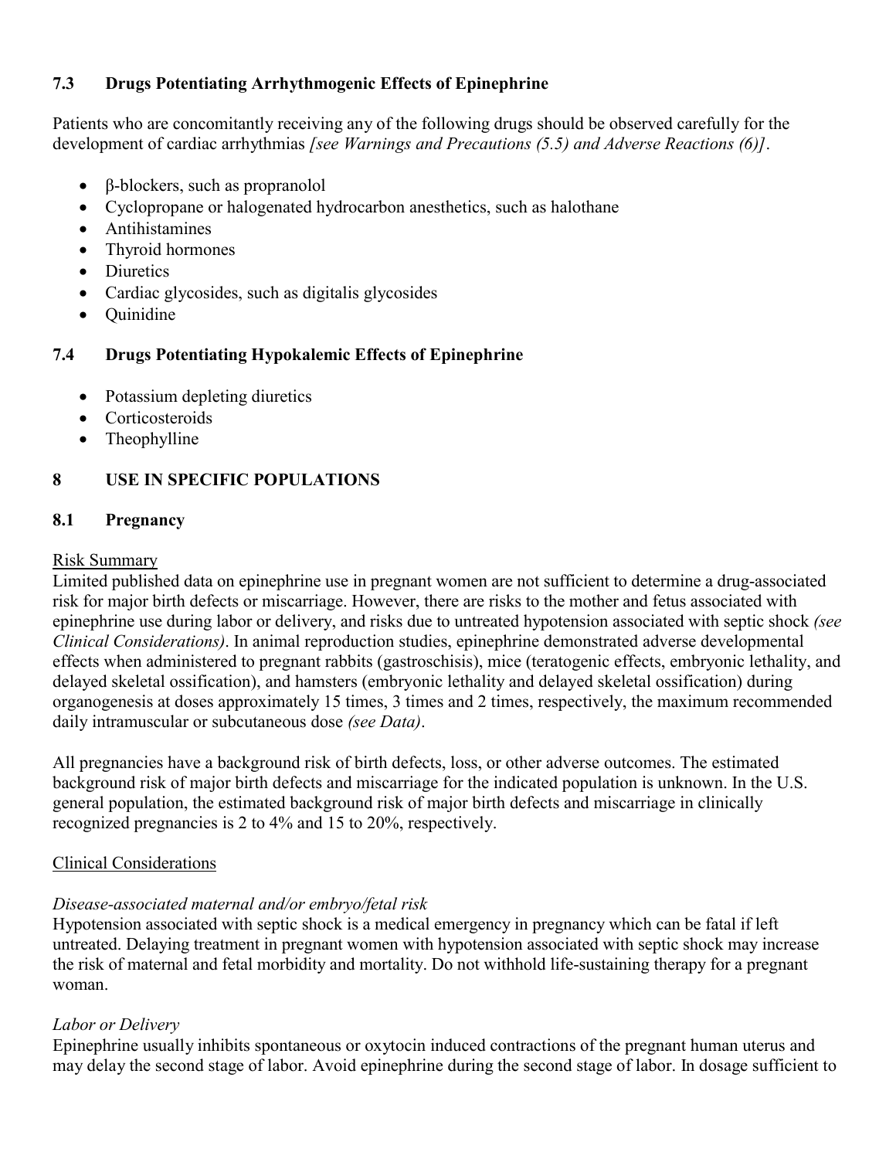#### **7.3 Drugs Potentiating Arrhythmogenic Effects of Epinephrine**

Patients who are concomitantly receiving any of the following drugs should be observed carefully for the development of cardiac arrhythmias *[see Warnings and Precautions (5.5) and Adverse Reactions (6)]*.

- β-blockers, such as propranolol
- Cyclopropane or halogenated hydrocarbon anesthetics, such as halothane
- Antihistamines
- Thyroid hormones
- Diuretics
- Cardiac glycosides, such as digitalis glycosides
- Quinidine

#### **7.4 Drugs Potentiating Hypokalemic Effects of Epinephrine**

- Potassium depleting diuretics
- Corticosteroids
- Theophylline

## **8 USE IN SPECIFIC POPULATIONS**

#### **8.1 Pregnancy**

#### Risk Summary

Limited published data on epinephrine use in pregnant women are not sufficient to determine a drug-associated risk for major birth defects or miscarriage. However, there are risks to the mother and fetus associated with epinephrine use during labor or delivery, and risks due to untreated hypotension associated with septic shock *(see Clinical Considerations)*. In animal reproduction studies, epinephrine demonstrated adverse developmental effects when administered to pregnant rabbits (gastroschisis), mice (teratogenic effects, embryonic lethality, and delayed skeletal ossification), and hamsters (embryonic lethality and delayed skeletal ossification) during organogenesis at doses approximately 15 times, 3 times and 2 times, respectively, the maximum recommended daily intramuscular or subcutaneous dose *(see Data)*.

All pregnancies have a background risk of birth defects, loss, or other adverse outcomes. The estimated background risk of major birth defects and miscarriage for the indicated population is unknown. In the U.S. general population, the estimated background risk of major birth defects and miscarriage in clinically recognized pregnancies is 2 to 4% and 15 to 20%, respectively.

#### Clinical Considerations

#### *Disease-associated maternal and/or embryo/fetal risk*

Hypotension associated with septic shock is a medical emergency in pregnancy which can be fatal if left untreated. Delaying treatment in pregnant women with hypotension associated with septic shock may increase the risk of maternal and fetal morbidity and mortality. Do not withhold life-sustaining therapy for a pregnant woman.

#### *Labor or Delivery*

Epinephrine usually inhibits spontaneous or oxytocin induced contractions of the pregnant human uterus and may delay the second stage of labor. Avoid epinephrine during the second stage of labor. In dosage sufficient to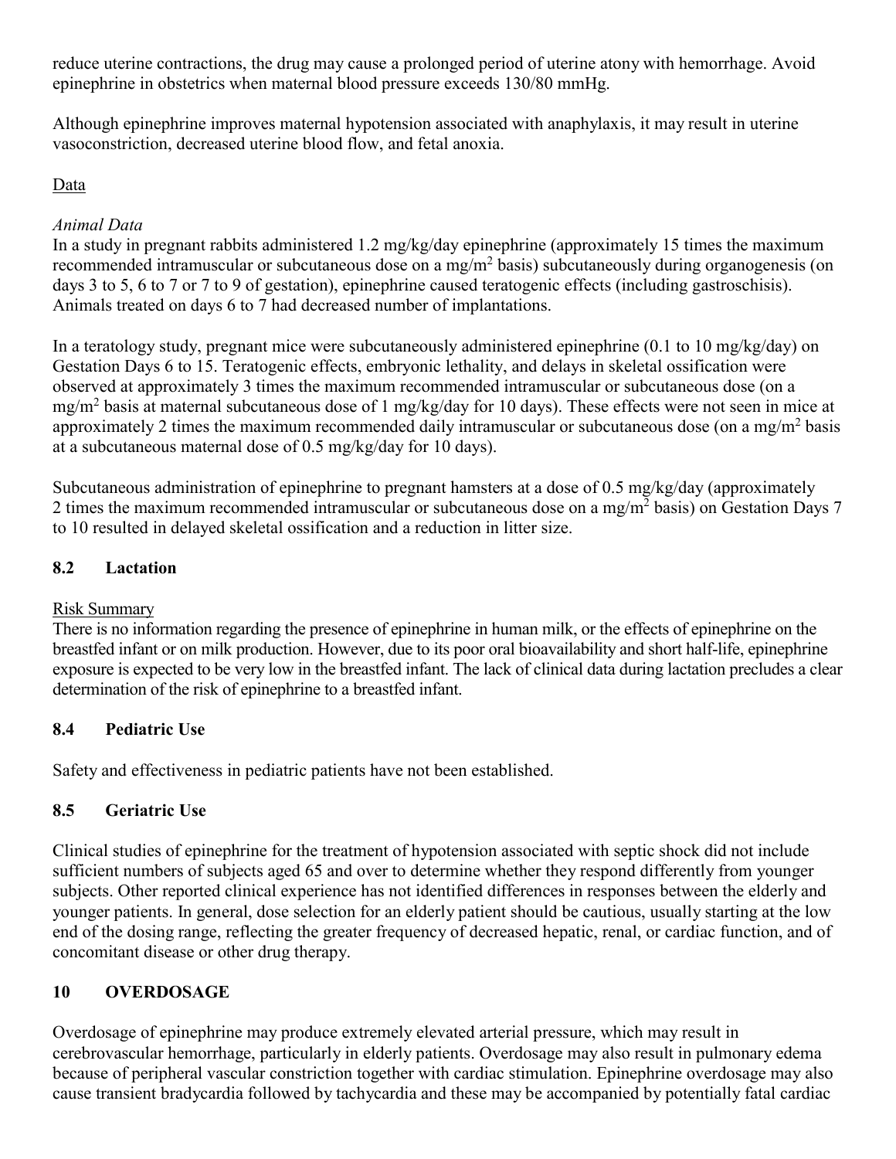reduce uterine contractions, the drug may cause a prolonged period of uterine atony with hemorrhage. Avoid epinephrine in obstetrics when maternal blood pressure exceeds 130/80 mmHg.

Although epinephrine improves maternal hypotension associated with anaphylaxis, it may result in uterine vasoconstriction, decreased uterine blood flow, and fetal anoxia.

#### Data

#### *Animal Data*

In a study in pregnant rabbits administered 1.2 mg/kg/day epinephrine (approximately 15 times the maximum recommended intramuscular or subcutaneous dose on a mg/m<sup>2</sup> basis) subcutaneously during organogenesis (on days 3 to 5, 6 to 7 or 7 to 9 of gestation), epinephrine caused teratogenic effects (including gastroschisis). Animals treated on days 6 to 7 had decreased number of implantations.

In a teratology study, pregnant mice were subcutaneously administered epinephrine (0.1 to 10 mg/kg/day) on Gestation Days 6 to 15. Teratogenic effects, embryonic lethality, and delays in skeletal ossification were observed at approximately 3 times the maximum recommended intramuscular or subcutaneous dose (on a mg/m<sup>2</sup> basis at maternal subcutaneous dose of 1 mg/kg/day for 10 days). These effects were not seen in mice at approximately 2 times the maximum recommended daily intramuscular or subcutaneous dose (on a mg/m<sup>2</sup> basis at a subcutaneous maternal dose of 0.5 mg/kg/day for 10 days).

Subcutaneous administration of epinephrine to pregnant hamsters at a dose of 0.5 mg/kg/day (approximately 2 times the maximum recommended intramuscular or subcutaneous dose on a mg/m<sup>2</sup> basis) on Gestation Days 7 to 10 resulted in delayed skeletal ossification and a reduction in litter size.

#### **8.2 Lactation**

## Risk Summary

There is no information regarding the presence of epinephrine in human milk, or the effects of epinephrine on the breastfed infant or on milk production. However, due to its poor oral bioavailability and short half-life, epinephrine exposure is expected to be very low in the breastfed infant. The lack of clinical data during lactation precludes a clear determination of the risk of epinephrine to a breastfed infant.

## **8.4 Pediatric Use**

Safety and effectiveness in pediatric patients have not been established.

## **8.5 Geriatric Use**

Clinical studies of epinephrine for the treatment of hypotension associated with septic shock did not include sufficient numbers of subjects aged 65 and over to determine whether they respond differently from younger subjects. Other reported clinical experience has not identified differences in responses between the elderly and younger patients. In general, dose selection for an elderly patient should be cautious, usually starting at the low end of the dosing range, reflecting the greater frequency of decreased hepatic, renal, or cardiac function, and of concomitant disease or other drug therapy.

## **10 OVERDOSAGE**

Overdosage of epinephrine may produce extremely elevated arterial pressure, which may result in cerebrovascular hemorrhage, particularly in elderly patients. Overdosage may also result in pulmonary edema because of peripheral vascular constriction together with cardiac stimulation. Epinephrine overdosage may also cause transient bradycardia followed by tachycardia and these may be accompanied by potentially fatal cardiac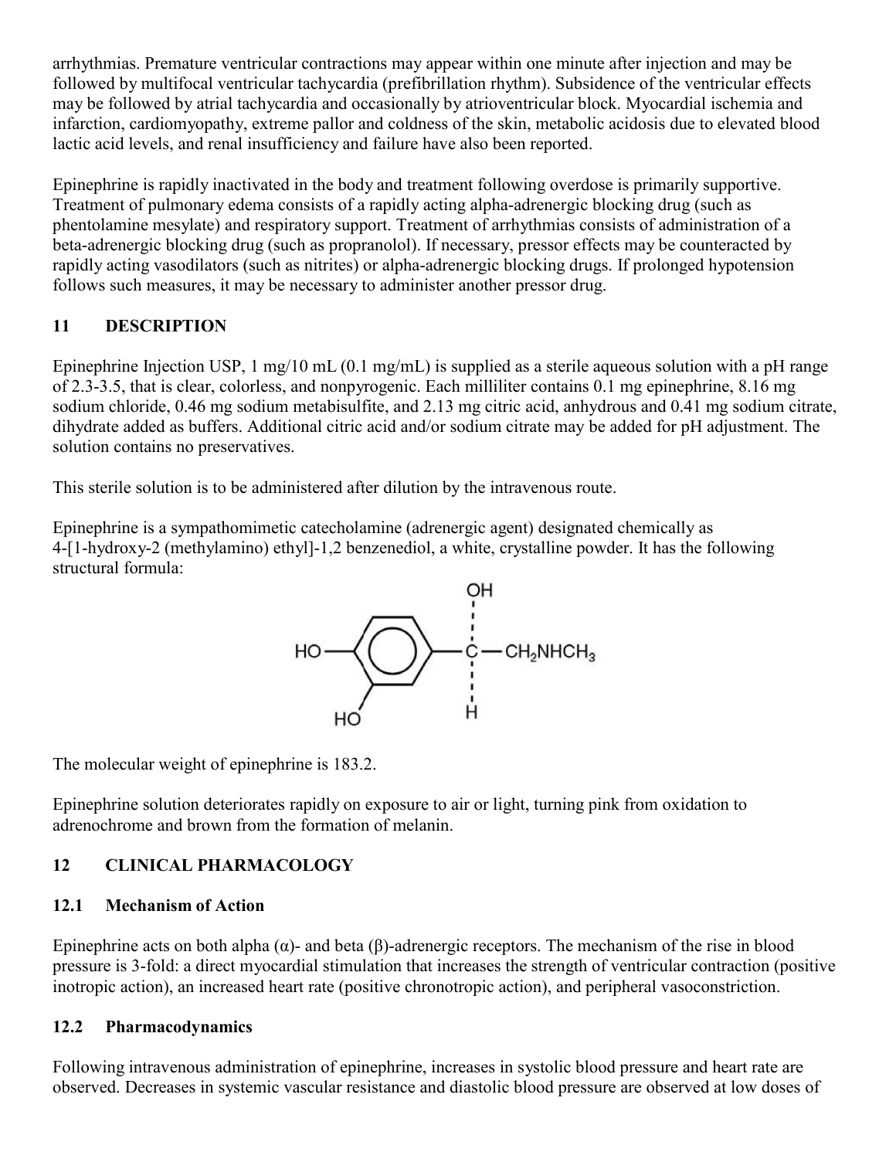arrhythmias. Premature ventricular contractions may appear within one minute after injection and may be followed by multifocal ventricular tachycardia (prefibrillation rhythm). Subsidence of the ventricular effects may be followed by atrial tachycardia and occasionally by atrioventricular block. Myocardial ischemia and infarction, cardiomyopathy, extreme pallor and coldness of the skin, metabolic acidosis due to elevated blood lactic acid levels, and renal insufficiency and failure have also been reported.

Epinephrine is rapidly inactivated in the body and treatment following overdose is primarily supportive. Treatment of pulmonary edema consists of a rapidly acting alpha-adrenergic blocking drug (such as phentolamine mesylate) and respiratory support. Treatment of arrhythmias consists of administration of a beta-adrenergic blocking drug (such as propranolol). If necessary, pressor effects may be counteracted by rapidly acting vasodilators (such as nitrites) or alpha-adrenergic blocking drugs. If prolonged hypotension follows such measures, it may be necessary to administer another pressor drug.

# **11 DESCRIPTION**

Epinephrine Injection USP, 1 mg/10 mL (0.1 mg/mL) is supplied as a sterile aqueous solution with a pH range of 2.3-3.5, that is clear, colorless, and nonpyrogenic. Each milliliter contains 0.1 mg epinephrine, 8.16 mg sodium chloride, 0.46 mg sodium metabisulfite, and 2.13 mg citric acid, anhydrous and 0.41 mg sodium citrate, dihydrate added as buffers. Additional citric acid and/or sodium citrate may be added for pH adjustment. The solution contains no preservatives.

This sterile solution is to be administered after dilution by the intravenous route.

Epinephrine is a sympathomimetic catecholamine (adrenergic agent) designated chemically as 4-[1-hydroxy-2 (methylamino) ethyl]-1,2 benzenediol, a white, crystalline powder. It has the following structural formula:



The molecular weight of epinephrine is 183.2.

Epinephrine solution deteriorates rapidly on exposure to air or light, turning pink from oxidation to adrenochrome and brown from the formation of melanin.

# **12 CLINICAL PHARMACOLOGY**

## **12.1 Mechanism of Action**

Epinephrine acts on both alpha (α)- and beta (β)-adrenergic receptors. The mechanism of the rise in blood pressure is 3-fold: a direct myocardial stimulation that increases the strength of ventricular contraction (positive inotropic action), an increased heart rate (positive chronotropic action), and peripheral vasoconstriction.

## **12.2 Pharmacodynamics**

Following intravenous administration of epinephrine, increases in systolic blood pressure and heart rate are observed. Decreases in systemic vascular resistance and diastolic blood pressure are observed at low doses of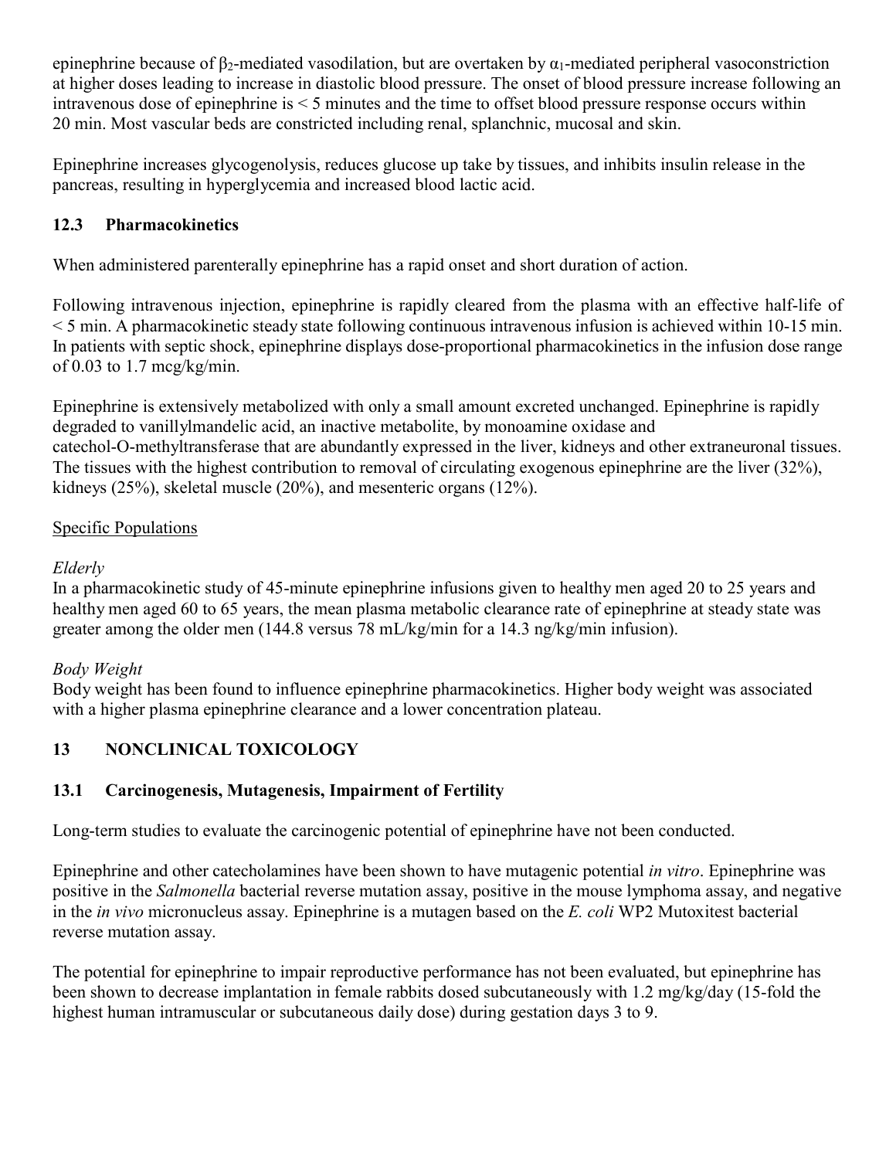epinephrine because of  $\beta_2$ -mediated vasodilation, but are overtaken by  $\alpha_1$ -mediated peripheral vasoconstriction at higher doses leading to increase in diastolic blood pressure. The onset of blood pressure increase following an intravenous dose of epinephrine is < 5 minutes and the time to offset blood pressure response occurs within 20 min. Most vascular beds are constricted including renal, splanchnic, mucosal and skin.

Epinephrine increases glycogenolysis, reduces glucose up take by tissues, and inhibits insulin release in the pancreas, resulting in hyperglycemia and increased blood lactic acid.

## **12.3 Pharmacokinetics**

When administered parenterally epinephrine has a rapid onset and short duration of action.

Following intravenous injection, epinephrine is rapidly cleared from the plasma with an effective half-life of < 5 min. A pharmacokinetic steady state following continuous intravenous infusion is achieved within 10-15 min. In patients with septic shock, epinephrine displays dose-proportional pharmacokinetics in the infusion dose range of 0.03 to 1.7 mcg/kg/min.

Epinephrine is extensively metabolized with only a small amount excreted unchanged. Epinephrine is rapidly degraded to vanillylmandelic acid, an inactive metabolite, by monoamine oxidase and catechol-O-methyltransferase that are abundantly expressed in the liver, kidneys and other extraneuronal tissues. The tissues with the highest contribution to removal of circulating exogenous epinephrine are the liver (32%), kidneys (25%), skeletal muscle (20%), and mesenteric organs (12%).

## Specific Populations

## *Elderly*

In a pharmacokinetic study of 45-minute epinephrine infusions given to healthy men aged 20 to 25 years and healthy men aged 60 to 65 years, the mean plasma metabolic clearance rate of epinephrine at steady state was greater among the older men (144.8 versus 78 mL/kg/min for a 14.3 ng/kg/min infusion).

## *Body Weight*

Body weight has been found to influence epinephrine pharmacokinetics. Higher body weight was associated with a higher plasma epinephrine clearance and a lower concentration plateau.

# **13 NONCLINICAL TOXICOLOGY**

# **13.1 Carcinogenesis, Mutagenesis, Impairment of Fertility**

Long-term studies to evaluate the carcinogenic potential of epinephrine have not been conducted.

Epinephrine and other catecholamines have been shown to have mutagenic potential *in vitro*. Epinephrine was positive in the *Salmonella* bacterial reverse mutation assay, positive in the mouse lymphoma assay, and negative in the *in vivo* micronucleus assay. Epinephrine is a mutagen based on the *E. coli* WP2 Mutoxitest bacterial reverse mutation assay.

The potential for epinephrine to impair reproductive performance has not been evaluated, but epinephrine has been shown to decrease implantation in female rabbits dosed subcutaneously with 1.2 mg/kg/day (15-fold the highest human intramuscular or subcutaneous daily dose) during gestation days 3 to 9.